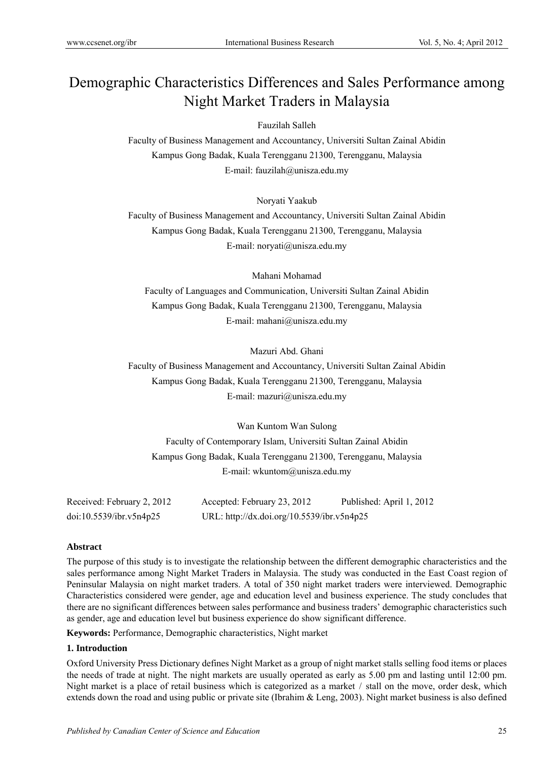# Demographic Characteristics Differences and Sales Performance among Night Market Traders in Malaysia

Fauzilah Salleh

Faculty of Business Management and Accountancy, Universiti Sultan Zainal Abidin Kampus Gong Badak, Kuala Terengganu 21300, Terengganu, Malaysia E-mail: fauzilah@unisza.edu.my

Noryati Yaakub

Faculty of Business Management and Accountancy, Universiti Sultan Zainal Abidin Kampus Gong Badak, Kuala Terengganu 21300, Terengganu, Malaysia E-mail: noryati@unisza.edu.my

Mahani Mohamad

Faculty of Languages and Communication, Universiti Sultan Zainal Abidin Kampus Gong Badak, Kuala Terengganu 21300, Terengganu, Malaysia E-mail: mahani@unisza.edu.my

Mazuri Abd. Ghani

Faculty of Business Management and Accountancy, Universiti Sultan Zainal Abidin Kampus Gong Badak, Kuala Terengganu 21300, Terengganu, Malaysia E-mail: mazuri@unisza.edu.my

Wan Kuntom Wan Sulong Faculty of Contemporary Islam, Universiti Sultan Zainal Abidin Kampus Gong Badak, Kuala Terengganu 21300, Terengganu, Malaysia E-mail: wkuntom@unisza.edu.my

| Received: February 2, 2012 | Accepted: February 23, 2012                | Published: April 1, 2012 |
|----------------------------|--------------------------------------------|--------------------------|
| doi:10.5539/ibr.v5n4p25    | URL: http://dx.doi.org/10.5539/ibr.v5n4p25 |                          |

# **Abstract**

The purpose of this study is to investigate the relationship between the different demographic characteristics and the sales performance among Night Market Traders in Malaysia. The study was conducted in the East Coast region of Peninsular Malaysia on night market traders. A total of 350 night market traders were interviewed. Demographic Characteristics considered were gender, age and education level and business experience. The study concludes that there are no significant differences between sales performance and business traders' demographic characteristics such as gender, age and education level but business experience do show significant difference.

**Keywords:** Performance, Demographic characteristics, Night market

## **1. Introduction**

Oxford University Press Dictionary defines Night Market as a group of night market stalls selling food items or places the needs of trade at night. The night markets are usually operated as early as 5.00 pm and lasting until 12:00 pm. Night market is a place of retail business which is categorized as a market / stall on the move, order desk, which extends down the road and using public or private site (Ibrahim & Leng, 2003). Night market business is also defined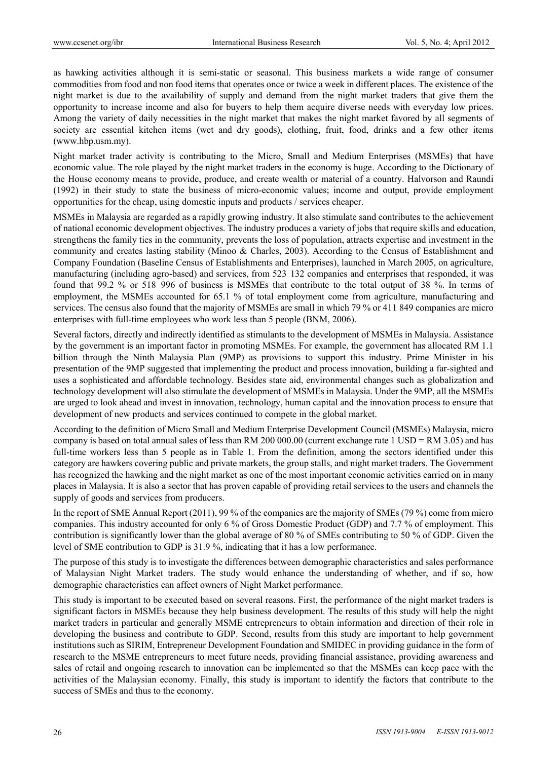as hawking activities although it is semi-static or seasonal. This business markets a wide range of consumer commodities from food and non food items that operates once or twice a week in different places. The existence of the night market is due to the availability of supply and demand from the night market traders that give them the opportunity to increase income and also for buyers to help them acquire diverse needs with everyday low prices. Among the variety of daily necessities in the night market that makes the night market favored by all segments of society are essential kitchen items (wet and dry goods), clothing, fruit, food, drinks and a few other items (www.hbp.usm.my).

Night market trader activity is contributing to the Micro, Small and Medium Enterprises (MSMEs) that have economic value. The role played by the night market traders in the economy is huge. According to the Dictionary of the House economy means to provide, produce, and create wealth or material of a country. Halvorson and Raundi (1992) in their study to state the business of micro-economic values; income and output, provide employment opportunities for the cheap, using domestic inputs and products / services cheaper.

MSMEs in Malaysia are regarded as a rapidly growing industry. It also stimulate sand contributes to the achievement of national economic development objectives. The industry produces a variety of jobs that require skills and education, strengthens the family ties in the community, prevents the loss of population, attracts expertise and investment in the community and creates lasting stability (Minoo & Charles, 2003). According to the Census of Establishment and Company Foundation (Baseline Census of Establishments and Enterprises), launched in March 2005, on agriculture, manufacturing (including agro-based) and services, from 523 132 companies and enterprises that responded, it was found that 99.2 % or 518 996 of business is MSMEs that contribute to the total output of 38 %. In terms of employment, the MSMEs accounted for 65.1 % of total employment come from agriculture, manufacturing and services. The census also found that the majority of MSMEs are small in which 79 % or 411 849 companies are micro enterprises with full-time employees who work less than 5 people (BNM, 2006).

Several factors, directly and indirectly identified as stimulants to the development of MSMEs in Malaysia. Assistance by the government is an important factor in promoting MSMEs. For example, the government has allocated RM 1.1 billion through the Ninth Malaysia Plan (9MP) as provisions to support this industry. Prime Minister in his presentation of the 9MP suggested that implementing the product and process innovation, building a far-sighted and uses a sophisticated and affordable technology. Besides state aid, environmental changes such as globalization and technology development will also stimulate the development of MSMEs in Malaysia. Under the 9MP, all the MSMEs are urged to look ahead and invest in innovation, technology, human capital and the innovation process to ensure that development of new products and services continued to compete in the global market.

According to the definition of Micro Small and Medium Enterprise Development Council (MSMEs) Malaysia, micro company is based on total annual sales of less than RM 200 000.00 (current exchange rate 1 USD = RM 3.05) and has full-time workers less than 5 people as in Table 1. From the definition, among the sectors identified under this category are hawkers covering public and private markets, the group stalls, and night market traders. The Government has recognized the hawking and the night market as one of the most important economic activities carried on in many places in Malaysia. It is also a sector that has proven capable of providing retail services to the users and channels the supply of goods and services from producers.

In the report of SME Annual Report (2011), 99 % of the companies are the majority of SMEs (79 %) come from micro companies. This industry accounted for only 6 % of Gross Domestic Product (GDP) and 7.7 % of employment. This contribution is significantly lower than the global average of 80 % of SMEs contributing to 50 % of GDP. Given the level of SME contribution to GDP is 31.9 %, indicating that it has a low performance.

The purpose of this study is to investigate the differences between demographic characteristics and sales performance of Malaysian Night Market traders. The study would enhance the understanding of whether, and if so, how demographic characteristics can affect owners of Night Market performance.

This study is important to be executed based on several reasons. First, the performance of the night market traders is significant factors in MSMEs because they help business development. The results of this study will help the night market traders in particular and generally MSME entrepreneurs to obtain information and direction of their role in developing the business and contribute to GDP. Second, results from this study are important to help government institutions such as SIRIM, Entrepreneur Development Foundation and SMIDEC in providing guidance in the form of research to the MSME entrepreneurs to meet future needs, providing financial assistance, providing awareness and sales of retail and ongoing research to innovation can be implemented so that the MSMEs can keep pace with the activities of the Malaysian economy. Finally, this study is important to identify the factors that contribute to the success of SMEs and thus to the economy.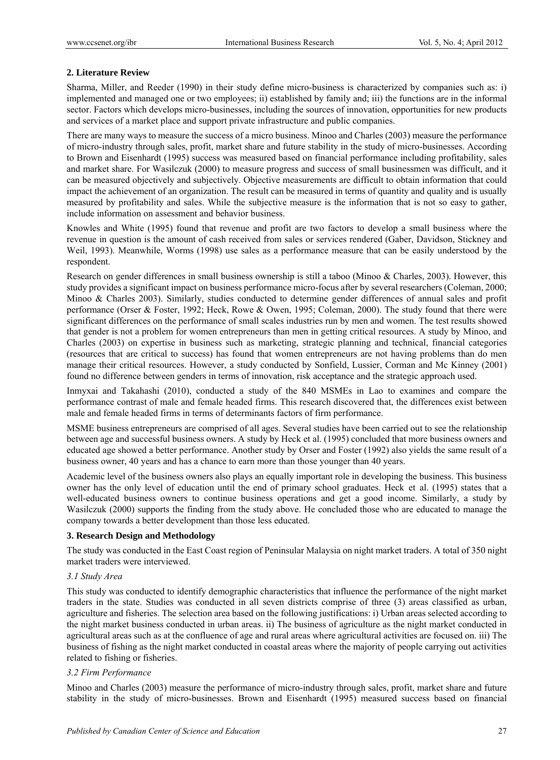# **2. Literature Review**

Sharma, Miller, and Reeder (1990) in their study define micro-business is characterized by companies such as: i) implemented and managed one or two employees; ii) established by family and; iii) the functions are in the informal sector. Factors which develops micro-businesses, including the sources of innovation, opportunities for new products and services of a market place and support private infrastructure and public companies.

There are many ways to measure the success of a micro business. Minoo and Charles (2003) measure the performance of micro-industry through sales, profit, market share and future stability in the study of micro-businesses. According to Brown and Eisenhardt (1995) success was measured based on financial performance including profitability, sales and market share. For Wasilczuk (2000) to measure progress and success of small businessmen was difficult, and it can be measured objectively and subjectively. Objective measurements are difficult to obtain information that could impact the achievement of an organization. The result can be measured in terms of quantity and quality and is usually measured by profitability and sales. While the subjective measure is the information that is not so easy to gather, include information on assessment and behavior business.

Knowles and White (1995) found that revenue and profit are two factors to develop a small business where the revenue in question is the amount of cash received from sales or services rendered (Gaber, Davidson, Stickney and Weil, 1993). Meanwhile, Worms (1998) use sales as a performance measure that can be easily understood by the respondent.

Research on gender differences in small business ownership is still a taboo (Minoo & Charles, 2003). However, this study provides a significant impact on business performance micro-focus after by several researchers (Coleman, 2000; Minoo & Charles 2003). Similarly, studies conducted to determine gender differences of annual sales and profit performance (Orser & Foster, 1992; Heck, Rowe & Owen, 1995; Coleman, 2000). The study found that there were significant differences on the performance of small scales industries run by men and women. The test results showed that gender is not a problem for women entrepreneurs than men in getting critical resources. A study by Minoo, and Charles (2003) on expertise in business such as marketing, strategic planning and technical, financial categories (resources that are critical to success) has found that women entrepreneurs are not having problems than do men manage their critical resources. However, a study conducted by Sonfield, Lussier, Corman and Mc Kinney (2001) found no difference between genders in terms of innovation, risk acceptance and the strategic approach used.

Inmyxai and Takahashi (2010), conducted a study of the 840 MSMEs in Lao to examines and compare the performance contrast of male and female headed firms. This research discovered that, the differences exist between male and female headed firms in terms of determinants factors of firm performance.

MSME business entrepreneurs are comprised of all ages. Several studies have been carried out to see the relationship between age and successful business owners. A study by Heck et al. (1995) concluded that more business owners and educated age showed a better performance. Another study by Orser and Foster (1992) also yields the same result of a business owner, 40 years and has a chance to earn more than those younger than 40 years.

Academic level of the business owners also plays an equally important role in developing the business. This business owner has the only level of education until the end of primary school graduates. Heck et al. (1995) states that a well-educated business owners to continue business operations and get a good income. Similarly, a study by Wasilczuk (2000) supports the finding from the study above. He concluded those who are educated to manage the company towards a better development than those less educated.

## **3. Research Design and Methodology**

The study was conducted in the East Coast region of Peninsular Malaysia on night market traders. A total of 350 night market traders were interviewed.

## *3.1 Study Area*

This study was conducted to identify demographic characteristics that influence the performance of the night market traders in the state. Studies was conducted in all seven districts comprise of three (3) areas classified as urban, agriculture and fisheries. The selection area based on the following justifications: i) Urban areas selected according to the night market business conducted in urban areas. ii) The business of agriculture as the night market conducted in agricultural areas such as at the confluence of age and rural areas where agricultural activities are focused on. iii) The business of fishing as the night market conducted in coastal areas where the majority of people carrying out activities related to fishing or fisheries.

## *3.2 Firm Performance*

Minoo and Charles (2003) measure the performance of micro-industry through sales, profit, market share and future stability in the study of micro-businesses. Brown and Eisenhardt (1995) measured success based on financial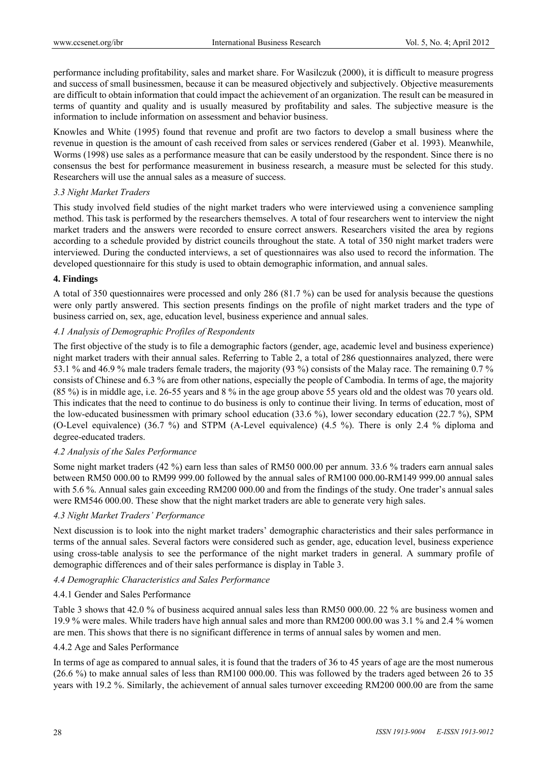performance including profitability, sales and market share. For Wasilczuk (2000), it is difficult to measure progress and success of small businessmen, because it can be measured objectively and subjectively. Objective measurements are difficult to obtain information that could impact the achievement of an organization. The result can be measured in terms of quantity and quality and is usually measured by profitability and sales. The subjective measure is the information to include information on assessment and behavior business.

Knowles and White (1995) found that revenue and profit are two factors to develop a small business where the revenue in question is the amount of cash received from sales or services rendered (Gaber et al. 1993). Meanwhile, Worms (1998) use sales as a performance measure that can be easily understood by the respondent. Since there is no consensus the best for performance measurement in business research, a measure must be selected for this study. Researchers will use the annual sales as a measure of success.

## *3.3 Night Market Traders*

This study involved field studies of the night market traders who were interviewed using a convenience sampling method. This task is performed by the researchers themselves. A total of four researchers went to interview the night market traders and the answers were recorded to ensure correct answers. Researchers visited the area by regions according to a schedule provided by district councils throughout the state. A total of 350 night market traders were interviewed. During the conducted interviews, a set of questionnaires was also used to record the information. The developed questionnaire for this study is used to obtain demographic information, and annual sales.

#### **4. Findings**

A total of 350 questionnaires were processed and only 286 (81.7 %) can be used for analysis because the questions were only partly answered. This section presents findings on the profile of night market traders and the type of business carried on, sex, age, education level, business experience and annual sales.

## *4.1 Analysis of Demographic Profiles of Respondents*

The first objective of the study is to file a demographic factors (gender, age, academic level and business experience) night market traders with their annual sales. Referring to Table 2, a total of 286 questionnaires analyzed, there were 53.1 % and 46.9 % male traders female traders, the majority (93 %) consists of the Malay race. The remaining 0.7 % consists of Chinese and 6.3 % are from other nations, especially the people of Cambodia. In terms of age, the majority (85 %) is in middle age, i.e. 26-55 years and 8 % in the age group above 55 years old and the oldest was 70 years old. This indicates that the need to continue to do business is only to continue their living. In terms of education, most of the low-educated businessmen with primary school education (33.6 %), lower secondary education (22.7 %), SPM (O-Level equivalence) (36.7 %) and STPM (A-Level equivalence) (4.5 %). There is only 2.4 % diploma and degree-educated traders.

## *4.2 Analysis of the Sales Performance*

Some night market traders (42 %) earn less than sales of RM50 000.00 per annum. 33.6 % traders earn annual sales between RM50 000.00 to RM99 999.00 followed by the annual sales of RM100 000.00-RM149 999.00 annual sales with 5.6 %. Annual sales gain exceeding RM200 000.00 and from the findings of the study. One trader's annual sales were RM546 000.00. These show that the night market traders are able to generate very high sales.

## *4.3 Night Market Traders' Performance*

Next discussion is to look into the night market traders' demographic characteristics and their sales performance in terms of the annual sales. Several factors were considered such as gender, age, education level, business experience using cross-table analysis to see the performance of the night market traders in general. A summary profile of demographic differences and of their sales performance is display in Table 3.

## *4.4 Demographic Characteristics and Sales Performance*

## 4.4.1 Gender and Sales Performance

Table 3 shows that 42.0 % of business acquired annual sales less than RM50 000.00. 22 % are business women and 19.9 % were males. While traders have high annual sales and more than RM200 000.00 was 3.1 % and 2.4 % women are men. This shows that there is no significant difference in terms of annual sales by women and men.

## 4.4.2 Age and Sales Performance

In terms of age as compared to annual sales, it is found that the traders of 36 to 45 years of age are the most numerous (26.6 %) to make annual sales of less than RM100 000.00. This was followed by the traders aged between 26 to 35 years with 19.2 %. Similarly, the achievement of annual sales turnover exceeding RM200 000.00 are from the same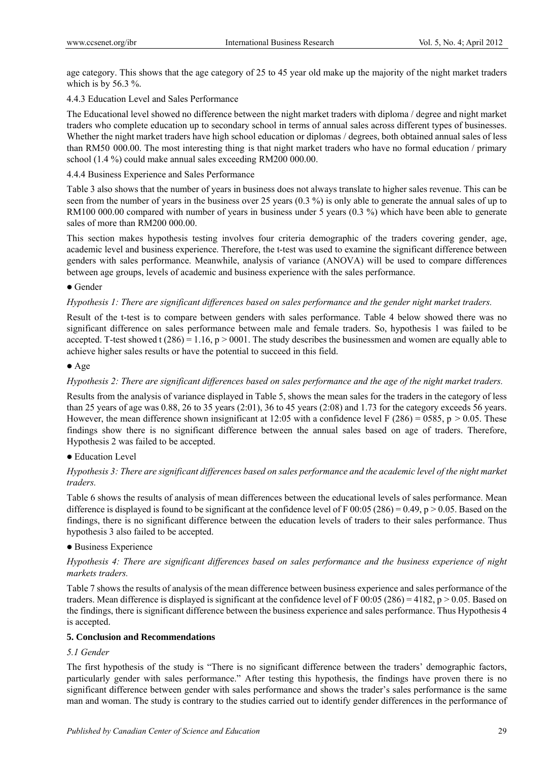age category. This shows that the age category of 25 to 45 year old make up the majority of the night market traders which is by 56.3  $\%$ .

# 4.4.3 Education Level and Sales Performance

The Educational level showed no difference between the night market traders with diploma / degree and night market traders who complete education up to secondary school in terms of annual sales across different types of businesses. Whether the night market traders have high school education or diplomas / degrees, both obtained annual sales of less than RM50 000.00. The most interesting thing is that night market traders who have no formal education / primary school (1.4 %) could make annual sales exceeding RM200 000.00.

# 4.4.4 Business Experience and Sales Performance

Table 3 also shows that the number of years in business does not always translate to higher sales revenue. This can be seen from the number of years in the business over 25 years (0.3 %) is only able to generate the annual sales of up to RM100 000.00 compared with number of years in business under 5 years (0.3 %) which have been able to generate sales of more than RM200 000.00.

This section makes hypothesis testing involves four criteria demographic of the traders covering gender, age, academic level and business experience. Therefore, the t-test was used to examine the significant difference between genders with sales performance. Meanwhile, analysis of variance (ANOVA) will be used to compare differences between age groups, levels of academic and business experience with the sales performance.

# • Gender

# *Hypothesis 1: There are significant differences based on sales performance and the gender night market traders.*

Result of the t-test is to compare between genders with sales performance. Table 4 below showed there was no significant difference on sales performance between male and female traders. So, hypothesis 1 was failed to be accepted. T-test showed t  $(286) = 1.16$ ,  $p > 0001$ . The study describes the businessmen and women are equally able to achieve higher sales results or have the potential to succeed in this field.

# Age

# *Hypothesis 2: There are significant differences based on sales performance and the age of the night market traders.*

Results from the analysis of variance displayed in Table 5, shows the mean sales for the traders in the category of less than 25 years of age was 0.88, 26 to 35 years (2:01), 36 to 45 years (2:08) and 1.73 for the category exceeds 56 years. However, the mean difference shown insignificant at 12:05 with a confidence level F (286) = 0585, p > 0.05. These findings show there is no significant difference between the annual sales based on age of traders. Therefore, Hypothesis 2 was failed to be accepted.

# Education Level

# *Hypothesis 3: There are significant differences based on sales performance and the academic level of the night market traders.*

Table 6 shows the results of analysis of mean differences between the educational levels of sales performance. Mean difference is displayed is found to be significant at the confidence level of F 00:05 (286) = 0.49, p  $> 0.05$ . Based on the findings, there is no significant difference between the education levels of traders to their sales performance. Thus hypothesis 3 also failed to be accepted.

## • Business Experience

# *Hypothesis 4: There are significant differences based on sales performance and the business experience of night markets traders.*

Table 7 shows the results of analysis of the mean difference between business experience and sales performance of the traders. Mean difference is displayed is significant at the confidence level of F 00:05 (286) = 4182, p > 0.05. Based on the findings, there is significant difference between the business experience and sales performance. Thus Hypothesis 4 is accepted.

## **5. Conclusion and Recommendations**

# *5.1 Gender*

The first hypothesis of the study is "There is no significant difference between the traders' demographic factors, particularly gender with sales performance." After testing this hypothesis, the findings have proven there is no significant difference between gender with sales performance and shows the trader's sales performance is the same man and woman. The study is contrary to the studies carried out to identify gender differences in the performance of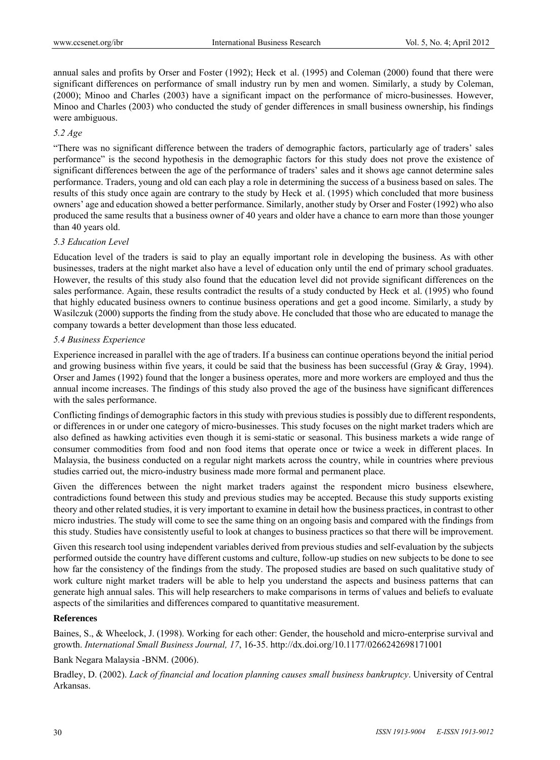annual sales and profits by Orser and Foster (1992); Heck et al. (1995) and Coleman (2000) found that there were significant differences on performance of small industry run by men and women. Similarly, a study by Coleman, (2000); Minoo and Charles (2003) have a significant impact on the performance of micro-businesses. However, Minoo and Charles (2003) who conducted the study of gender differences in small business ownership, his findings were ambiguous.

# *5.2 Age*

"There was no significant difference between the traders of demographic factors, particularly age of traders' sales performance" is the second hypothesis in the demographic factors for this study does not prove the existence of significant differences between the age of the performance of traders' sales and it shows age cannot determine sales performance. Traders, young and old can each play a role in determining the success of a business based on sales. The results of this study once again are contrary to the study by Heck et al. (1995) which concluded that more business owners' age and education showed a better performance. Similarly, another study by Orser and Foster (1992) who also produced the same results that a business owner of 40 years and older have a chance to earn more than those younger than 40 years old.

#### *5.3 Education Level*

Education level of the traders is said to play an equally important role in developing the business. As with other businesses, traders at the night market also have a level of education only until the end of primary school graduates. However, the results of this study also found that the education level did not provide significant differences on the sales performance. Again, these results contradict the results of a study conducted by Heck et al. (1995) who found that highly educated business owners to continue business operations and get a good income. Similarly, a study by Wasilczuk (2000) supports the finding from the study above. He concluded that those who are educated to manage the company towards a better development than those less educated.

#### *5.4 Business Experience*

Experience increased in parallel with the age of traders. If a business can continue operations beyond the initial period and growing business within five years, it could be said that the business has been successful (Gray  $\&$  Gray, 1994). Orser and James (1992) found that the longer a business operates, more and more workers are employed and thus the annual income increases. The findings of this study also proved the age of the business have significant differences with the sales performance.

Conflicting findings of demographic factors in this study with previous studies is possibly due to different respondents, or differences in or under one category of micro-businesses. This study focuses on the night market traders which are also defined as hawking activities even though it is semi-static or seasonal. This business markets a wide range of consumer commodities from food and non food items that operate once or twice a week in different places. In Malaysia, the business conducted on a regular night markets across the country, while in countries where previous studies carried out, the micro-industry business made more formal and permanent place.

Given the differences between the night market traders against the respondent micro business elsewhere, contradictions found between this study and previous studies may be accepted. Because this study supports existing theory and other related studies, it is very important to examine in detail how the business practices, in contrast to other micro industries. The study will come to see the same thing on an ongoing basis and compared with the findings from this study. Studies have consistently useful to look at changes to business practices so that there will be improvement.

Given this research tool using independent variables derived from previous studies and self-evaluation by the subjects performed outside the country have different customs and culture, follow-up studies on new subjects to be done to see how far the consistency of the findings from the study. The proposed studies are based on such qualitative study of work culture night market traders will be able to help you understand the aspects and business patterns that can generate high annual sales. This will help researchers to make comparisons in terms of values and beliefs to evaluate aspects of the similarities and differences compared to quantitative measurement.

#### **References**

Baines, S., & Wheelock, J. (1998). Working for each other: Gender, the household and micro-enterprise survival and growth. *International Small Business Journal, 17*, 16-35. http://dx.doi.org/10.1177/0266242698171001

Bank Negara Malaysia -BNM. (2006).

Bradley, D. (2002). *Lack of financial and location planning causes small business bankruptcy*. University of Central Arkansas.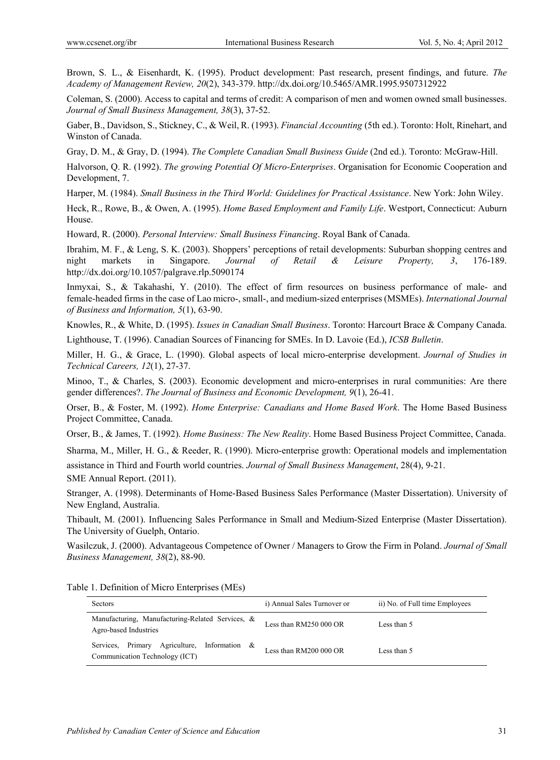Brown, S. L., & Eisenhardt, K. (1995). Product development: Past research, present findings, and future. *The Academy of Management Review, 20*(2), 343-379. http://dx.doi.org/10.5465/AMR.1995.9507312922

Coleman, S. (2000). Access to capital and terms of credit: A comparison of men and women owned small businesses. *Journal of Small Business Management, 38*(3), 37-52.

Gaber, B., Davidson, S., Stickney, C., & Weil, R. (1993). *Financial Accounting* (5th ed.). Toronto: Holt, Rinehart, and Winston of Canada.

Gray, D. M., & Gray, D. (1994). *The Complete Canadian Small Business Guide* (2nd ed.). Toronto: McGraw-Hill.

Halvorson, Q. R. (1992). *The growing Potential Of Micro-Enterprises*. Organisation for Economic Cooperation and Development, 7.

Harper, M. (1984). *Small Business in the Third World: Guidelines for Practical Assistance*. New York: John Wiley.

Heck, R., Rowe, B., & Owen, A. (1995). *Home Based Employment and Family Life*. Westport, Connecticut: Auburn House.

Howard, R. (2000). *Personal Interview: Small Business Financing*. Royal Bank of Canada.

Ibrahim, M. F., & Leng, S. K. (2003). Shoppers' perceptions of retail developments: Suburban shopping centres and night markets in Singapore. *Journal of Retail & Leisure Property, 3*, 176-189. http://dx.doi.org/10.1057/palgrave.rlp.5090174

Inmyxai, S., & Takahashi, Y. (2010). The effect of firm resources on business performance of male- and female-headed firms in the case of Lao micro-, small-, and medium-sized enterprises (MSMEs). *International Journal of Business and Information, 5*(1), 63-90.

Knowles, R., & White, D. (1995). *Issues in Canadian Small Business*. Toronto: Harcourt Brace & Company Canada.

Lighthouse, T. (1996). Canadian Sources of Financing for SMEs. In D. Lavoie (Ed.), *ICSB Bulletin*.

Miller, H. G., & Grace, L. (1990). Global aspects of local micro-enterprise development. *Journal of Studies in Technical Careers, 12*(1), 27-37.

Minoo, T., & Charles, S. (2003). Economic development and micro-enterprises in rural communities: Are there gender differences?. *The Journal of Business and Economic Development, 9*(1), 26-41.

Orser, B., & Foster, M. (1992). *Home Enterprise: Canadians and Home Based Work*. The Home Based Business Project Committee, Canada.

Orser, B., & James, T. (1992). *Home Business: The New Reality*. Home Based Business Project Committee, Canada.

Sharma, M., Miller, H. G., & Reeder, R. (1990). Micro-enterprise growth: Operational models and implementation assistance in Third and Fourth world countries. *Journal of Small Business Management*, 28(4), 9-21. SME Annual Report. (2011).

Stranger, A. (1998). Determinants of Home-Based Business Sales Performance (Master Dissertation). University of

New England, Australia.

Thibault, M. (2001). Influencing Sales Performance in Small and Medium-Sized Enterprise (Master Dissertation). The University of Guelph, Ontario.

Wasilczuk, J. (2000). Advantageous Competence of Owner / Managers to Grow the Firm in Poland. *Journal of Small Business Management, 38*(2), 88-90.

| Sectors                                                                           | i) Annual Sales Turnover or | ii) No. of Full time Employees |
|-----------------------------------------------------------------------------------|-----------------------------|--------------------------------|
| Manufacturing, Manufacturing-Related Services, &<br>Agro-based Industries         | Less than RM250 000 OR      | Less than 5                    |
| Services, Primary Agriculture,<br>Information &<br>Communication Technology (ICT) | Less than RM200 000 OR      | Less than 5                    |

Table 1. Definition of Micro Enterprises (MEs)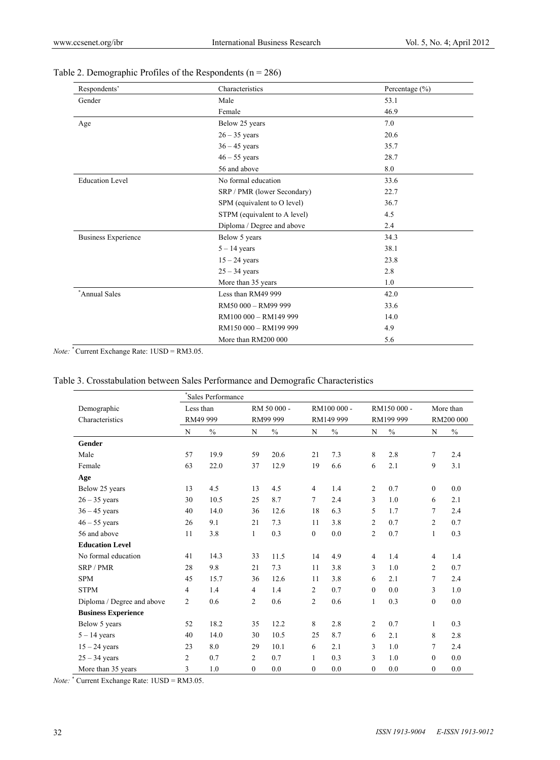| Respondents'               | Characteristics              | Percentage $(\% )$ |
|----------------------------|------------------------------|--------------------|
| Gender                     | Male                         | 53.1               |
|                            | Female                       | 46.9               |
| Age                        | Below 25 years               | 7.0                |
|                            | $26 - 35$ years              | 20.6               |
|                            | $36 - 45$ years              | 35.7               |
|                            | $46 - 55$ years              | 28.7               |
|                            | 56 and above                 | 8.0                |
| <b>Education Level</b>     | No formal education          | 33.6               |
|                            | SRP / PMR (lower Secondary)  | 22.7               |
|                            | SPM (equivalent to O level)  | 36.7               |
|                            | STPM (equivalent to A level) | 4.5                |
|                            | Diploma / Degree and above   | 2.4                |
| <b>Business Experience</b> | Below 5 years                | 34.3               |
|                            | $5 - 14$ years               | 38.1               |
|                            | $15 - 24$ years              | 23.8               |
|                            | $25 - 34$ years              | 2.8                |
|                            | More than 35 years           | 1.0                |
| Annual Sales               | Less than RM49 999           | 42.0               |
|                            | RM50 000 - RM99 999          | 33.6               |
|                            | RM100 000 - RM149 999        | 14.0               |
|                            | RM150 000 - RM199 999        | 4.9                |
|                            | More than RM200 000          | 5.6                |

# Table 2. Demographic Profiles of the Respondents ( $n = 286$ )

*Note:* \* Current Exchange Rate: 1USD = RM3.05.

# Table 3. Crosstabulation between Sales Performance and Demografic Characteristics

|                            | *Sales Performance |          |                |             |                |               |                |               |                |      |
|----------------------------|--------------------|----------|----------------|-------------|----------------|---------------|----------------|---------------|----------------|------|
| Demographic                | Less than          |          |                | RM 50 000 - | RM100 000 -    |               |                | RM150 000 -   | More than      |      |
| Characteristics            |                    | RM49 999 |                | RM99 999    |                | RM149 999     |                | RM199 999     | RM200 000      |      |
|                            | N                  | $\%$     | N              | $\%$        | N              | $\frac{0}{0}$ | N              | $\frac{0}{0}$ | N              | $\%$ |
| <b>Gender</b>              |                    |          |                |             |                |               |                |               |                |      |
| Male                       | 57                 | 19.9     | 59             | 20.6        | 21             | 7.3           | 8              | 2.8           | 7              | 2.4  |
| Female                     | 63                 | 22.0     | 37             | 12.9        | 19             | 6.6           | 6              | 2.1           | 9              | 3.1  |
| Age                        |                    |          |                |             |                |               |                |               |                |      |
| Below 25 years             | 13                 | 4.5      | 13             | 4.5         | $\overline{4}$ | 1.4           | $\overline{c}$ | 0.7           | $\mathbf{0}$   | 0.0  |
| $26 - 35$ years            | 30                 | 10.5     | 25             | 8.7         | 7              | 2.4           | 3              | 1.0           | 6              | 2.1  |
| $36 - 45$ years            | 40                 | 14.0     | 36             | 12.6        | 18             | 6.3           | 5              | 1.7           | 7              | 2.4  |
| $46 - 55$ years            | 26                 | 9.1      | 21             | 7.3         | 11             | 3.8           | $\overline{2}$ | 0.7           | $\overline{2}$ | 0.7  |
| 56 and above               | 11                 | 3.8      | $\mathbf{1}$   | 0.3         | $\overline{0}$ | 0.0           | $\overline{2}$ | 0.7           | $\mathbf{1}$   | 0.3  |
| <b>Education Level</b>     |                    |          |                |             |                |               |                |               |                |      |
| No formal education        | 41                 | 14.3     | 33             | 11.5        | 14             | 4.9           | 4              | 1.4           | $\overline{4}$ | 1.4  |
| SRP / PMR                  | 28                 | 9.8      | 21             | 7.3         | 11             | 3.8           | 3              | 1.0           | $\overline{c}$ | 0.7  |
| <b>SPM</b>                 | 45                 | 15.7     | 36             | 12.6        | 11             | 3.8           | 6              | 2.1           | 7              | 2.4  |
| <b>STPM</b>                | $\overline{4}$     | 1.4      | $\overline{4}$ | 1.4         | 2              | 0.7           | $\mathbf{0}$   | 0.0           | 3              | 1.0  |
| Diploma / Degree and above | $\overline{c}$     | 0.6      | 2              | 0.6         | $\overline{2}$ | 0.6           | $\mathbf{1}$   | 0.3           | $\mathbf{0}$   | 0.0  |
| <b>Business Experience</b> |                    |          |                |             |                |               |                |               |                |      |
| Below 5 years              | 52                 | 18.2     | 35             | 12.2        | 8              | 2.8           | $\overline{c}$ | 0.7           | 1              | 0.3  |
| $5 - 14$ years             | 40                 | 14.0     | 30             | 10.5        | 25             | 8.7           | 6              | 2.1           | 8              | 2.8  |
| $15 - 24$ years            | 23                 | 8.0      | 29             | 10.1        | 6              | 2.1           | 3              | 1.0           | 7              | 2.4  |
| $25 - 34$ years            | $\overline{2}$     | 0.7      | $\overline{c}$ | 0.7         | 1              | 0.3           | 3              | 1.0           | $\mathbf{0}$   | 0.0  |
| More than 35 years         | 3                  | 1.0      | $\mathbf{0}$   | 0.0         | $\mathbf{0}$   | 0.0           | $\overline{0}$ | 0.0           | $\mathbf{0}$   | 0.0  |

*Note:* \* Current Exchange Rate: 1USD = RM3.05.